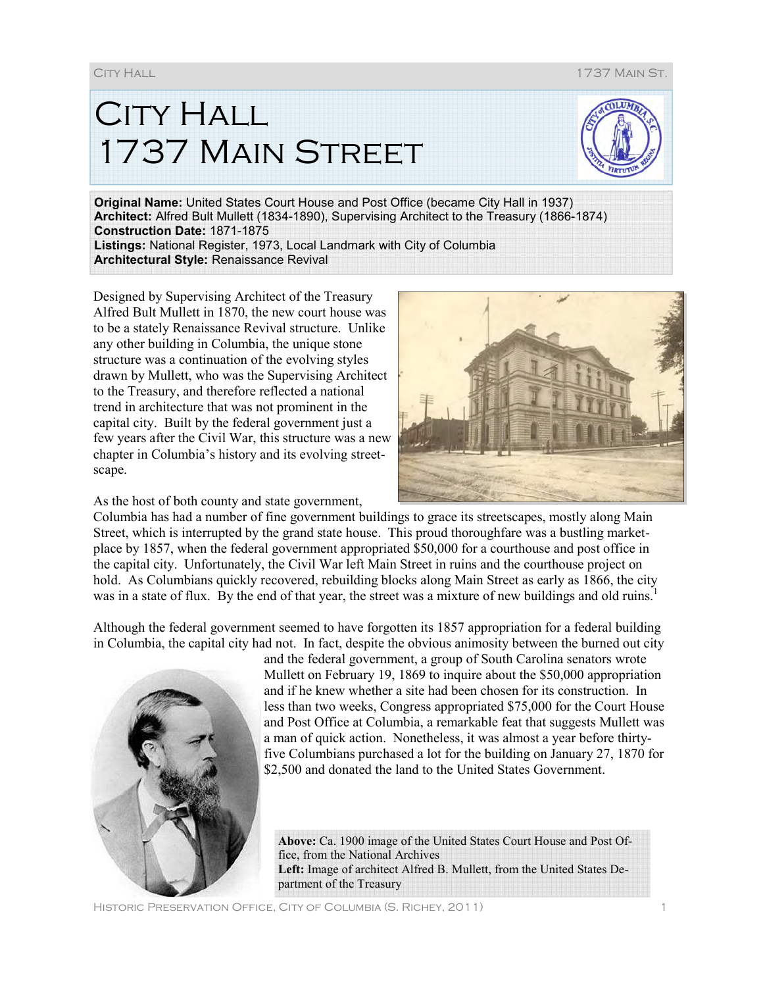**CITY HALL** 1737 Main Street



**Original Name:** United States Court House and Post Office (became City Hall in 1937) **Architect:** Alfred Bult Mullett (1834-1890), Supervising Architect to the Treasury (1866-1874) **Construction Date:** 1871-1875 **Listings:** National Register, 1973, Local Landmark with City of Columbia **Architectural Style:** Renaissance Revival

Designed by Supervising Architect of the Treasury Alfred Bult Mullett in 1870, the new court house was to be a stately Renaissance Revival structure. Unlike any other building in Columbia, the unique stone structure was a continuation of the evolving styles drawn by Mullett, who was the Supervising Architect to the Treasury, and therefore reflected a national trend in architecture that was not prominent in the capital city. Built by the federal government just a few years after the Civil War, this structure was a new chapter in Columbia's history and its evolving streetscape.

As the host of both county and state government,



Columbia has had a number of fine government buildings to grace its streetscapes, mostly along Main Street, which is interrupted by the grand state house. This proud thoroughfare was a bustling marketplace by 1857, when the federal government appropriated \$50,000 for a courthouse and post office in the capital city. Unfortunately, the Civil War left Main Street in ruins and the courthouse project on hold. As Columbians quickly recovered, rebuilding blocks along Main Street as early as 1866, the city was in a state of flux. By the end of that year, the street was a mixture of new buildings and old ruins.<sup>1</sup>

Although the federal government seemed to have forgotten its 1857 appropriation for a federal building in Columbia, the capital city had not. In fact, despite the obvious animosity between the burned out city



and the federal government, a group of South Carolina senators wrote Mullett on February 19, 1869 to inquire about the \$50,000 appropriation and if he knew whether a site had been chosen for its construction. In less than two weeks, Congress appropriated \$75,000 for the Court House and Post Office at Columbia, a remarkable feat that suggests Mullett was a man of quick action. Nonetheless, it was almost a year before thirtyfive Columbians purchased a lot for the building on January 27, 1870 for \$2,500 and donated the land to the United States Government.

**Above:** Ca. 1900 image of the United States Court House and Post Office, from the National Archives **Left:** Image of architect Alfred B. Mullett, from the United States Department of the Treasury

City Hall 1737 Main St.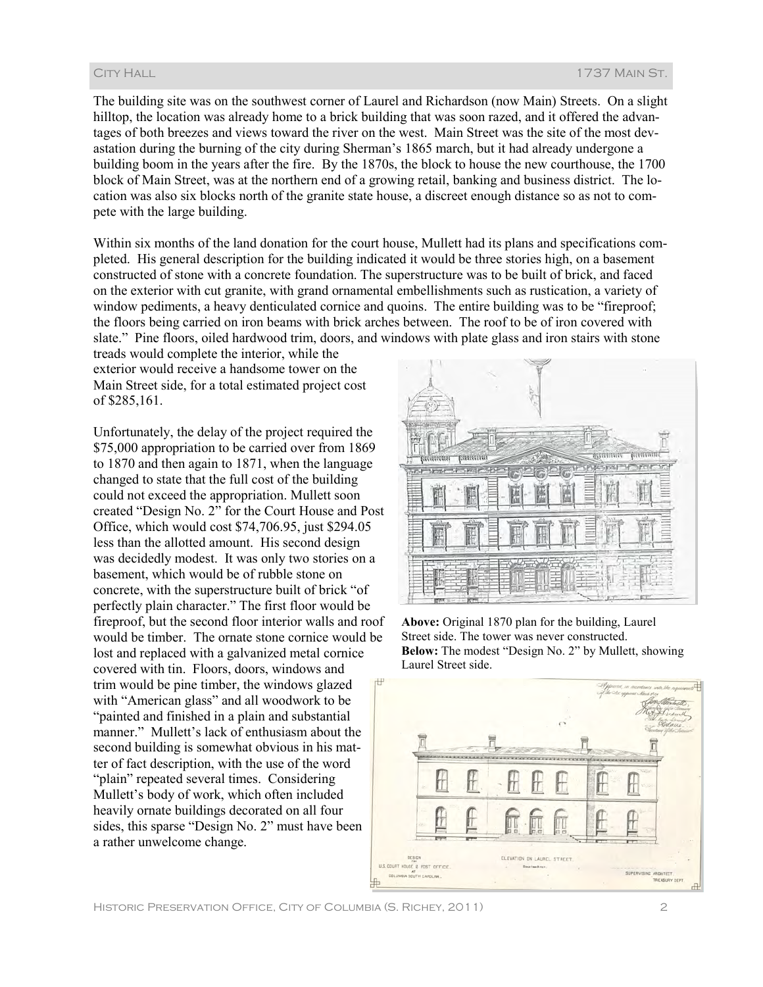The building site was on the southwest corner of Laurel and Richardson (now Main) Streets. On a slight hilltop, the location was already home to a brick building that was soon razed, and it offered the advantages of both breezes and views toward the river on the west. Main Street was the site of the most devastation during the burning of the city during Sherman's 1865 march, but it had already undergone a building boom in the years after the fire. By the 1870s, the block to house the new courthouse, the 1700 block of Main Street, was at the northern end of a growing retail, banking and business district. The location was also six blocks north of the granite state house, a discreet enough distance so as not to compete with the large building.

Within six months of the land donation for the court house, Mullett had its plans and specifications completed. His general description for the building indicated it would be three stories high, on a basement constructed of stone with a concrete foundation. The superstructure was to be built of brick, and faced on the exterior with cut granite, with grand ornamental embellishments such as rustication, a variety of window pediments, a heavy denticulated cornice and quoins. The entire building was to be "fireproof; the floors being carried on iron beams with brick arches between. The roof to be of iron covered with slate." Pine floors, oiled hardwood trim, doors, and windows with plate glass and iron stairs with stone

treads would complete the interior, while the exterior would receive a handsome tower on the Main Street side, for a total estimated project cost of \$285,161.

Unfortunately, the delay of the project required the \$75,000 appropriation to be carried over from 1869 to 1870 and then again to 1871, when the language changed to state that the full cost of the building could not exceed the appropriation. Mullett soon created "Design No. 2" for the Court House and Post Office, which would cost \$74,706.95, just \$294.05 less than the allotted amount. His second design was decidedly modest. It was only two stories on a basement, which would be of rubble stone on concrete, with the superstructure built of brick "of perfectly plain character." The first floor would be fireproof, but the second floor interior walls and roof would be timber. The ornate stone cornice would be lost and replaced with a galvanized metal cornice covered with tin. Floors, doors, windows and trim would be pine timber, the windows glazed with "American glass" and all woodwork to be "painted and finished in a plain and substantial manner." Mullett's lack of enthusiasm about the second building is somewhat obvious in his matter of fact description, with the use of the word "plain" repeated several times. Considering Mullett's body of work, which often included heavily ornate buildings decorated on all four sides, this sparse "Design No. 2" must have been a rather unwelcome change.



**Above:** Original 1870 plan for the building, Laurel Street side. The tower was never constructed. **Below:** The modest "Design No. 2" by Mullett, showing Laurel Street side.

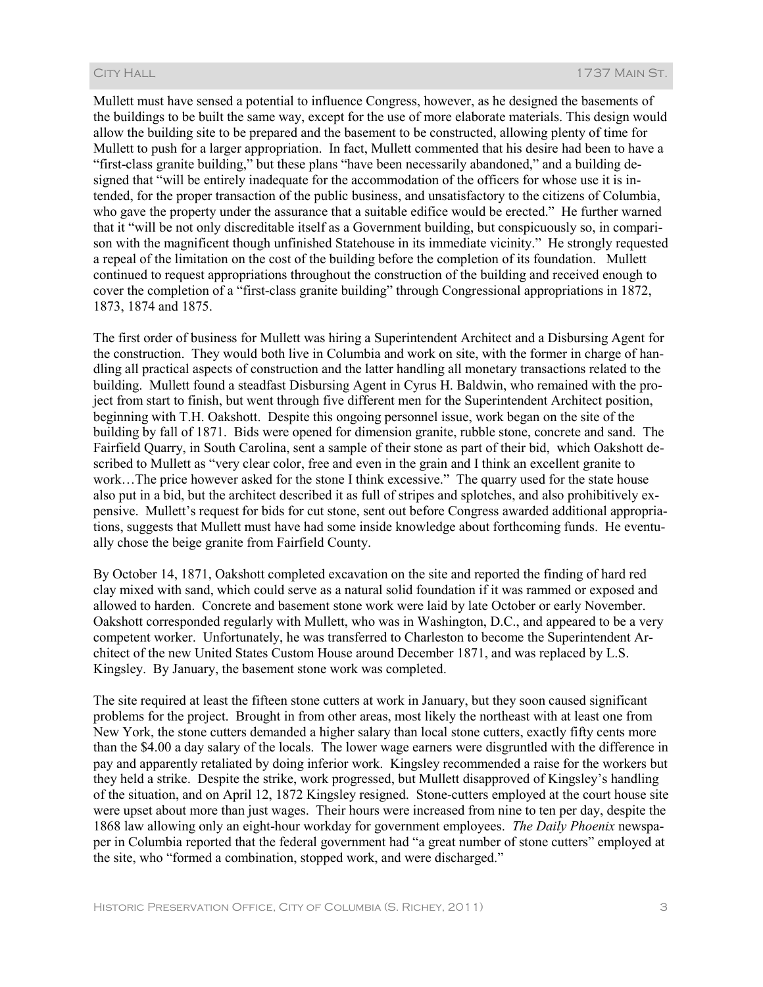Mullett must have sensed a potential to influence Congress, however, as he designed the basements of the buildings to be built the same way, except for the use of more elaborate materials. This design would allow the building site to be prepared and the basement to be constructed, allowing plenty of time for Mullett to push for a larger appropriation. In fact, Mullett commented that his desire had been to have a "first-class granite building," but these plans "have been necessarily abandoned," and a building designed that "will be entirely inadequate for the accommodation of the officers for whose use it is intended, for the proper transaction of the public business, and unsatisfactory to the citizens of Columbia, who gave the property under the assurance that a suitable edifice would be erected." He further warned that it "will be not only discreditable itself as a Government building, but conspicuously so, in comparison with the magnificent though unfinished Statehouse in its immediate vicinity." He strongly requested a repeal of the limitation on the cost of the building before the completion of its foundation. Mullett continued to request appropriations throughout the construction of the building and received enough to cover the completion of a "first-class granite building" through Congressional appropriations in 1872, 1873, 1874 and 1875.

The first order of business for Mullett was hiring a Superintendent Architect and a Disbursing Agent for the construction. They would both live in Columbia and work on site, with the former in charge of handling all practical aspects of construction and the latter handling all monetary transactions related to the building. Mullett found a steadfast Disbursing Agent in Cyrus H. Baldwin, who remained with the project from start to finish, but went through five different men for the Superintendent Architect position, beginning with T.H. Oakshott. Despite this ongoing personnel issue, work began on the site of the building by fall of 1871. Bids were opened for dimension granite, rubble stone, concrete and sand. The Fairfield Quarry, in South Carolina, sent a sample of their stone as part of their bid, which Oakshott described to Mullett as "very clear color, free and even in the grain and I think an excellent granite to work…The price however asked for the stone I think excessive." The quarry used for the state house also put in a bid, but the architect described it as full of stripes and splotches, and also prohibitively expensive. Mullett's request for bids for cut stone, sent out before Congress awarded additional appropriations, suggests that Mullett must have had some inside knowledge about forthcoming funds. He eventually chose the beige granite from Fairfield County.

By October 14, 1871, Oakshott completed excavation on the site and reported the finding of hard red clay mixed with sand, which could serve as a natural solid foundation if it was rammed or exposed and allowed to harden. Concrete and basement stone work were laid by late October or early November. Oakshott corresponded regularly with Mullett, who was in Washington, D.C., and appeared to be a very competent worker. Unfortunately, he was transferred to Charleston to become the Superintendent Architect of the new United States Custom House around December 1871, and was replaced by L.S. Kingsley. By January, the basement stone work was completed.

The site required at least the fifteen stone cutters at work in January, but they soon caused significant problems for the project. Brought in from other areas, most likely the northeast with at least one from New York, the stone cutters demanded a higher salary than local stone cutters, exactly fifty cents more than the \$4.00 a day salary of the locals. The lower wage earners were disgruntled with the difference in pay and apparently retaliated by doing inferior work. Kingsley recommended a raise for the workers but they held a strike. Despite the strike, work progressed, but Mullett disapproved of Kingsley's handling of the situation, and on April 12, 1872 Kingsley resigned. Stone-cutters employed at the court house site were upset about more than just wages. Their hours were increased from nine to ten per day, despite the 1868 law allowing only an eight-hour workday for government employees. *The Daily Phoenix* newspaper in Columbia reported that the federal government had "a great number of stone cutters" employed at the site, who "formed a combination, stopped work, and were discharged."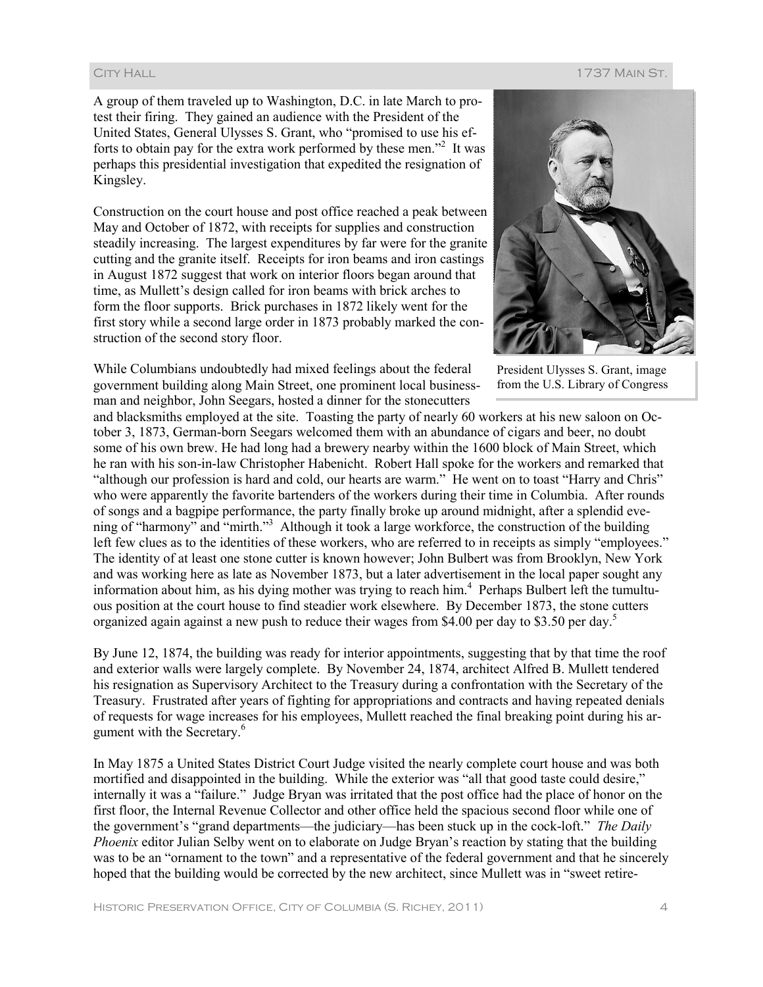## City Hall 1737 Main St.

A group of them traveled up to Washington, D.C. in late March to protest their firing. They gained an audience with the President of the United States, General Ulysses S. Grant, who "promised to use his efforts to obtain pay for the extra work performed by these men."<sup>2</sup> It was perhaps this presidential investigation that expedited the resignation of Kingsley.

Construction on the court house and post office reached a peak between May and October of 1872, with receipts for supplies and construction steadily increasing. The largest expenditures by far were for the granite cutting and the granite itself. Receipts for iron beams and iron castings in August 1872 suggest that work on interior floors began around that time, as Mullett's design called for iron beams with brick arches to form the floor supports. Brick purchases in 1872 likely went for the first story while a second large order in 1873 probably marked the construction of the second story floor.

While Columbians undoubtedly had mixed feelings about the federal government building along Main Street, one prominent local businessman and neighbor, John Seegars, hosted a dinner for the stonecutters



President Ulysses S. Grant, image from the U.S. Library of Congress

and blacksmiths employed at the site. Toasting the party of nearly 60 workers at his new saloon on October 3, 1873, German-born Seegars welcomed them with an abundance of cigars and beer, no doubt some of his own brew. He had long had a brewery nearby within the 1600 block of Main Street, which he ran with his son-in-law Christopher Habenicht. Robert Hall spoke for the workers and remarked that "although our profession is hard and cold, our hearts are warm." He went on to toast "Harry and Chris" who were apparently the favorite bartenders of the workers during their time in Columbia. After rounds of songs and a bagpipe performance, the party finally broke up around midnight, after a splendid evening of "harmony" and "mirth."<sup>3</sup> Although it took a large workforce, the construction of the building left few clues as to the identities of these workers, who are referred to in receipts as simply "employees." The identity of at least one stone cutter is known however; John Bulbert was from Brooklyn, New York and was working here as late as November 1873, but a later advertisement in the local paper sought any information about him, as his dying mother was trying to reach him.<sup>4</sup> Perhaps Bulbert left the tumultuous position at the court house to find steadier work elsewhere. By December 1873, the stone cutters organized again against a new push to reduce their wages from \$4.00 per day to \$3.50 per day.<sup>5</sup>

By June 12, 1874, the building was ready for interior appointments, suggesting that by that time the roof and exterior walls were largely complete. By November 24, 1874, architect Alfred B. Mullett tendered his resignation as Supervisory Architect to the Treasury during a confrontation with the Secretary of the Treasury. Frustrated after years of fighting for appropriations and contracts and having repeated denials of requests for wage increases for his employees, Mullett reached the final breaking point during his argument with the Secretary.<sup>6</sup>

In May 1875 a United States District Court Judge visited the nearly complete court house and was both mortified and disappointed in the building. While the exterior was "all that good taste could desire," internally it was a "failure." Judge Bryan was irritated that the post office had the place of honor on the first floor, the Internal Revenue Collector and other office held the spacious second floor while one of the government's "grand departments—the judiciary—has been stuck up in the cock-loft." *The Daily Phoenix* editor Julian Selby went on to elaborate on Judge Bryan's reaction by stating that the building was to be an "ornament to the town" and a representative of the federal government and that he sincerely hoped that the building would be corrected by the new architect, since Mullett was in "sweet retire-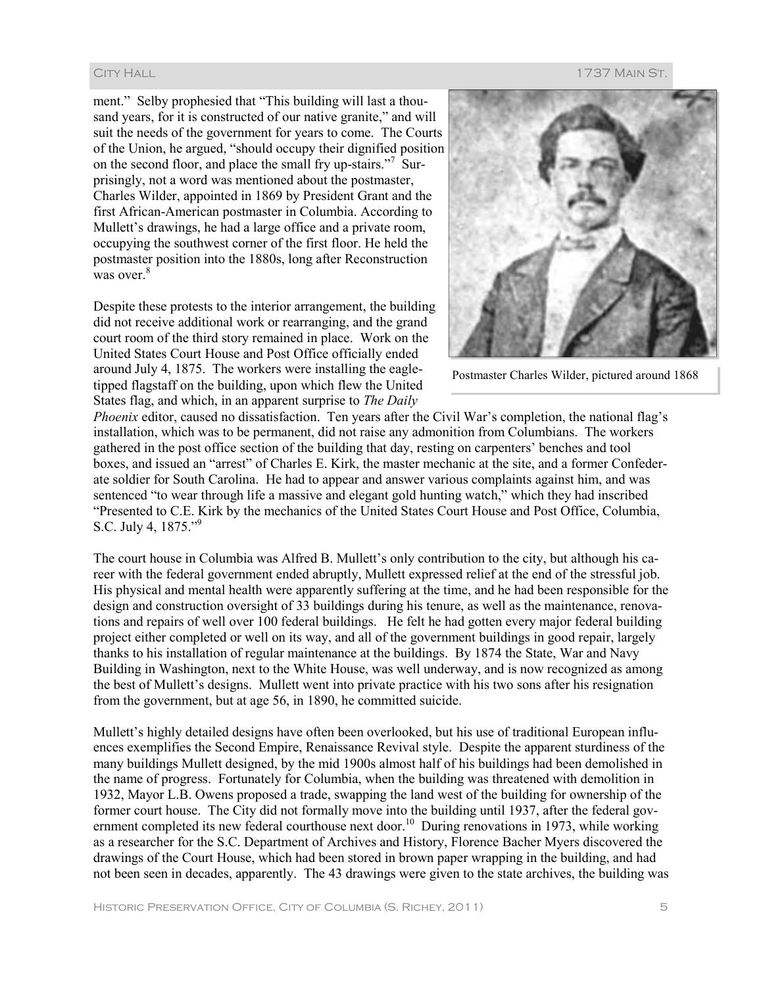ment." Selby prophesied that "This building will last a thousand years, for it is constructed of our native granite," and will suit the needs of the government for years to come. The Courts of the Union, he argued, "should occupy their dignified position on the second floor, and place the small fry up-stairs."<sup>7</sup> Surprisingly, not a word was mentioned about the postmaster, Charles Wilder, appointed in 1869 by President Grant and the first African-American postmaster in Columbia. According to Mullett's drawings, he had a large office and a private room, occupying the southwest corner of the first floor. He held the postmaster position into the 1880s, long after Reconstruction was over.<sup>8</sup>

Despite these protests to the interior arrangement, the building did not receive additional work or rearranging, and the grand court room of the third story remained in place. Work on the United States Court House and Post Office officially ended around July 4, 1875. The workers were installing the eagletipped flagstaff on the building, upon which flew the United States flag, and which, in an apparent surprise to *The Daily* 



Postmaster Charles Wilder, pictured around 1868

*Phoenix* editor, caused no dissatisfaction. Ten years after the Civil War's completion, the national flag's installation, which was to be permanent, did not raise any admonition from Columbians. The workers gathered in the post office section of the building that day, resting on carpenters' benches and tool boxes, and issued an "arrest" of Charles E. Kirk, the master mechanic at the site, and a former Confederate soldier for South Carolina. He had to appear and answer various complaints against him, and was sentenced "to wear through life a massive and elegant gold hunting watch," which they had inscribed "Presented to C.E. Kirk by the mechanics of the United States Court House and Post Office, Columbia, S.C. July 4, 1875."<sup>9</sup>

The court house in Columbia was Alfred B. Mullett's only contribution to the city, but although his career with the federal government ended abruptly, Mullett expressed relief at the end of the stressful job. His physical and mental health were apparently suffering at the time, and he had been responsible for the design and construction oversight of 33 buildings during his tenure, as well as the maintenance, renovations and repairs of well over 100 federal buildings. He felt he had gotten every major federal building project either completed or well on its way, and all of the government buildings in good repair, largely thanks to his installation of regular maintenance at the buildings. By 1874 the State, War and Navy Building in Washington, next to the White House, was well underway, and is now recognized as among the best of Mullett's designs. Mullett went into private practice with his two sons after his resignation from the government, but at age 56, in 1890, he committed suicide.

Mullett's highly detailed designs have often been overlooked, but his use of traditional European influences exemplifies the Second Empire, Renaissance Revival style. Despite the apparent sturdiness of the many buildings Mullett designed, by the mid 1900s almost half of his buildings had been demolished in the name of progress. Fortunately for Columbia, when the building was threatened with demolition in 1932, Mayor L.B. Owens proposed a trade, swapping the land west of the building for ownership of the former court house. The City did not formally move into the building until 1937, after the federal government completed its new federal courthouse next door.<sup>10</sup> During renovations in 1973, while working as a researcher for the S.C. Department of Archives and History, Florence Bacher Myers discovered the drawings of the Court House, which had been stored in brown paper wrapping in the building, and had not been seen in decades, apparently. The 43 drawings were given to the state archives, the building was

## City Hall 1737 Main St.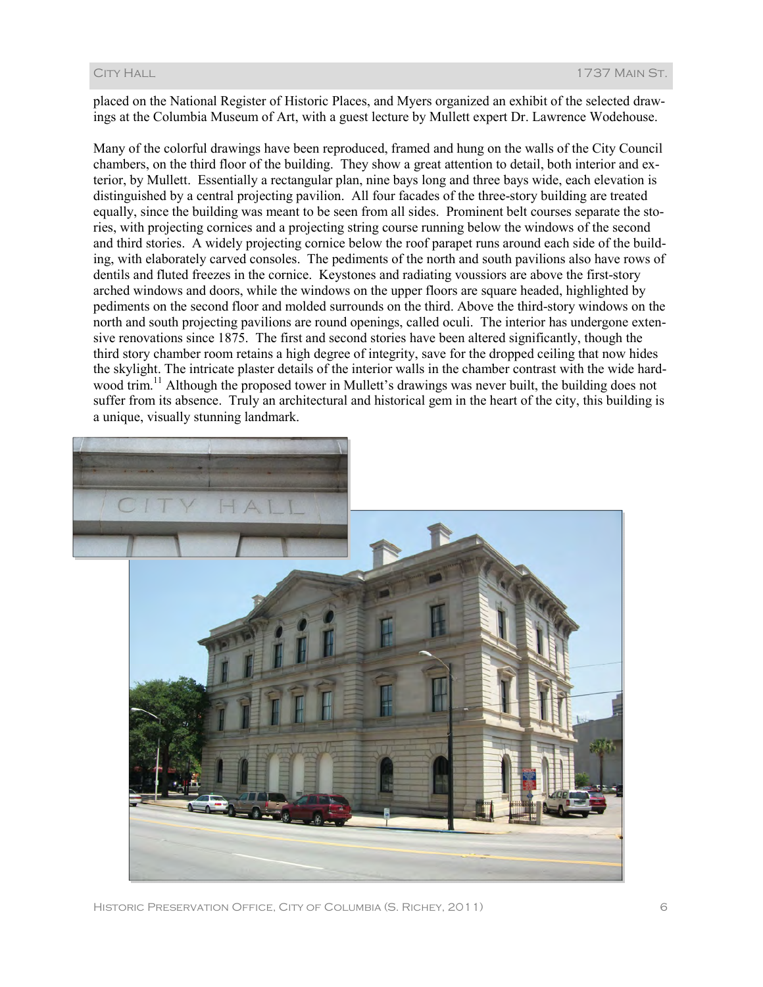placed on the National Register of Historic Places, and Myers organized an exhibit of the selected drawings at the Columbia Museum of Art, with a guest lecture by Mullett expert Dr. Lawrence Wodehouse.

Many of the colorful drawings have been reproduced, framed and hung on the walls of the City Council chambers, on the third floor of the building. They show a great attention to detail, both interior and exterior, by Mullett. Essentially a rectangular plan, nine bays long and three bays wide, each elevation is distinguished by a central projecting pavilion. All four facades of the three-story building are treated equally, since the building was meant to be seen from all sides. Prominent belt courses separate the stories, with projecting cornices and a projecting string course running below the windows of the second and third stories. A widely projecting cornice below the roof parapet runs around each side of the building, with elaborately carved consoles. The pediments of the north and south pavilions also have rows of dentils and fluted freezes in the cornice. Keystones and radiating voussiors are above the first-story arched windows and doors, while the windows on the upper floors are square headed, highlighted by pediments on the second floor and molded surrounds on the third. Above the third-story windows on the north and south projecting pavilions are round openings, called oculi. The interior has undergone extensive renovations since 1875. The first and second stories have been altered significantly, though the third story chamber room retains a high degree of integrity, save for the dropped ceiling that now hides the skylight. The intricate plaster details of the interior walls in the chamber contrast with the wide hardwood trim.<sup>11</sup> Although the proposed tower in Mullett's drawings was never built, the building does not suffer from its absence. Truly an architectural and historical gem in the heart of the city, this building is a unique, visually stunning landmark.



Historic Preservation Office, City of Columbia (S. Richey, 2011) 6